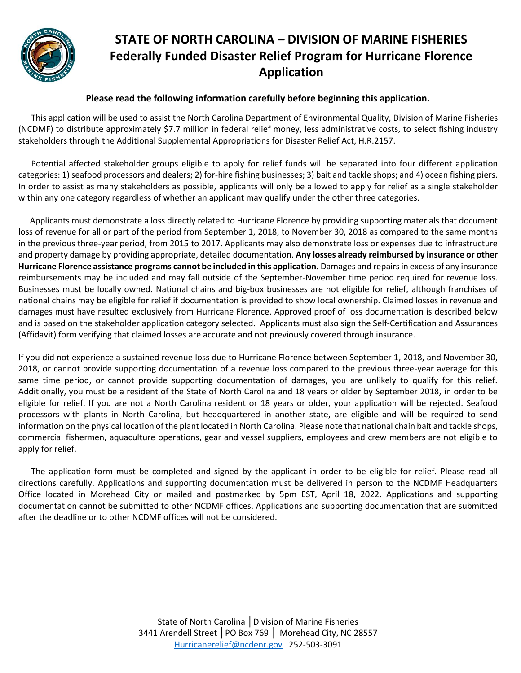

#### **Please read the following information carefully before beginning this application.**

 This application will be used to assist the North Carolina Department of Environmental Quality, Division of Marine Fisheries (NCDMF) to distribute approximately \$7.7 million in federal relief money, less administrative costs, to select fishing industry stakeholders through the Additional Supplemental Appropriations for Disaster Relief Act, H.R.2157.

 Potential affected stakeholder groups eligible to apply for relief funds will be separated into four different application categories: 1) seafood processors and dealers; 2) for-hire fishing businesses; 3) bait and tackle shops; and 4) ocean fishing piers. In order to assist as many stakeholders as possible, applicants will only be allowed to apply for relief as a single stakeholder within any one category regardless of whether an applicant may qualify under the other three categories.

Applicants must demonstrate a loss directly related to Hurricane Florence by providing supporting materials that document loss of revenue for all or part of the period from September 1, 2018, to November 30, 2018 as compared to the same months in the previous three-year period, from 2015 to 2017. Applicants may also demonstrate loss or expenses due to infrastructure and property damage by providing appropriate, detailed documentation. **Any losses already reimbursed by insurance or other Hurricane Florence assistance programs cannot be included in this application.** Damages and repairs in excess of any insurance reimbursements may be included and may fall outside of the September-November time period required for revenue loss. Businesses must be locally owned. National chains and big-box businesses are not eligible for relief, although franchises of national chains may be eligible for relief if documentation is provided to show local ownership. Claimed losses in revenue and damages must have resulted exclusively from Hurricane Florence. Approved proof of loss documentation is described below and is based on the stakeholder application category selected. Applicants must also sign the Self-Certification and Assurances (Affidavit) form verifying that claimed losses are accurate and not previously covered through insurance.

If you did not experience a sustained revenue loss due to Hurricane Florence between September 1, 2018, and November 30, 2018, or cannot provide supporting documentation of a revenue loss compared to the previous three-year average for this same time period, or cannot provide supporting documentation of damages, you are unlikely to qualify for this relief. Additionally, you must be a resident of the State of North Carolina and 18 years or older by September 2018, in order to be eligible for relief. If you are not a North Carolina resident or 18 years or older, your application will be rejected. Seafood processors with plants in North Carolina, but headquartered in another state, are eligible and will be required to send information on the physical location of the plant located in North Carolina. Please note that national chain bait and tackle shops, commercial fishermen, aquaculture operations, gear and vessel suppliers, employees and crew members are not eligible to apply for relief.

 The application form must be completed and signed by the applicant in order to be eligible for relief. Please read all directions carefully. Applications and supporting documentation must be delivered in person to the NCDMF Headquarters Office located in Morehead City or mailed and postmarked by 5pm EST, April 18, 2022. Applications and supporting documentation cannot be submitted to other NCDMF offices. Applications and supporting documentation that are submitted after the deadline or to other NCDMF offices will not be considered.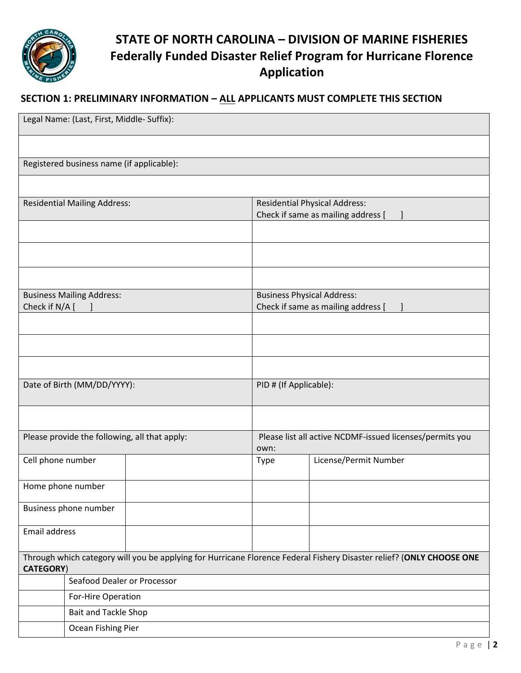

### **SECTION 1: PRELIMINARY INFORMATION – ALL APPLICANTS MUST COMPLETE THIS SECTION**

| Legal Name: (Last, First, Middle- Suffix):                                                                                               |                             |                                                                  |                                                                            |                       |  |
|------------------------------------------------------------------------------------------------------------------------------------------|-----------------------------|------------------------------------------------------------------|----------------------------------------------------------------------------|-----------------------|--|
|                                                                                                                                          |                             |                                                                  |                                                                            |                       |  |
| Registered business name (if applicable):                                                                                                |                             |                                                                  |                                                                            |                       |  |
|                                                                                                                                          |                             |                                                                  |                                                                            |                       |  |
| <b>Residential Mailing Address:</b>                                                                                                      |                             |                                                                  | <b>Residential Physical Address:</b><br>Check if same as mailing address [ |                       |  |
|                                                                                                                                          |                             |                                                                  |                                                                            |                       |  |
|                                                                                                                                          |                             |                                                                  |                                                                            |                       |  |
|                                                                                                                                          |                             |                                                                  |                                                                            |                       |  |
| <b>Business Mailing Address:</b><br>Check if N/A [                                                                                       |                             |                                                                  | <b>Business Physical Address:</b><br>Check if same as mailing address [    |                       |  |
|                                                                                                                                          |                             |                                                                  |                                                                            |                       |  |
|                                                                                                                                          |                             |                                                                  |                                                                            |                       |  |
|                                                                                                                                          |                             |                                                                  |                                                                            |                       |  |
| Date of Birth (MM/DD/YYYY):                                                                                                              |                             |                                                                  | PID # (If Applicable):                                                     |                       |  |
|                                                                                                                                          |                             |                                                                  |                                                                            |                       |  |
| Please provide the following, all that apply:                                                                                            |                             | Please list all active NCDMF-issued licenses/permits you<br>own: |                                                                            |                       |  |
| Cell phone number                                                                                                                        |                             |                                                                  | Type                                                                       | License/Permit Number |  |
| Home phone number                                                                                                                        |                             |                                                                  |                                                                            |                       |  |
| Business phone number                                                                                                                    |                             |                                                                  |                                                                            |                       |  |
| Email address                                                                                                                            |                             |                                                                  |                                                                            |                       |  |
| Through which category will you be applying for Hurricane Florence Federal Fishery Disaster relief? (ONLY CHOOSE ONE<br><b>CATEGORY)</b> |                             |                                                                  |                                                                            |                       |  |
|                                                                                                                                          | Seafood Dealer or Processor |                                                                  |                                                                            |                       |  |
|                                                                                                                                          | For-Hire Operation          |                                                                  |                                                                            |                       |  |
|                                                                                                                                          | Bait and Tackle Shop        |                                                                  |                                                                            |                       |  |
|                                                                                                                                          | Ocean Fishing Pier          |                                                                  |                                                                            |                       |  |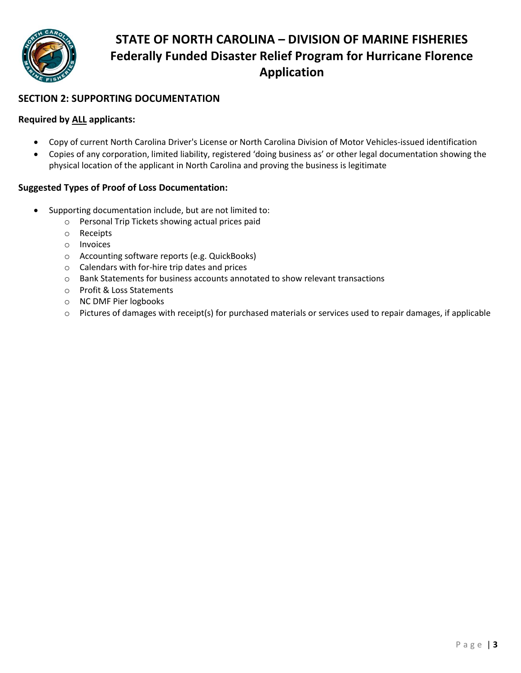

#### **SECTION 2: SUPPORTING DOCUMENTATION**

#### **Required by ALL applicants:**

- Copy of current North Carolina Driver's License or North Carolina Division of Motor Vehicles-issued identification
- Copies of any corporation, limited liability, registered 'doing business as' or other legal documentation showing the physical location of the applicant in North Carolina and proving the business is legitimate

#### **Suggested Types of Proof of Loss Documentation:**

- Supporting documentation include, but are not limited to:
	- o Personal Trip Tickets showing actual prices paid
	- o Receipts
	- o Invoices
	- o Accounting software reports (e.g. QuickBooks)
	- o Calendars with for-hire trip dates and prices
	- o Bank Statements for business accounts annotated to show relevant transactions
	- o Profit & Loss Statements
	- o NC DMF Pier logbooks
	- o Pictures of damages with receipt(s) for purchased materials or services used to repair damages, if applicable